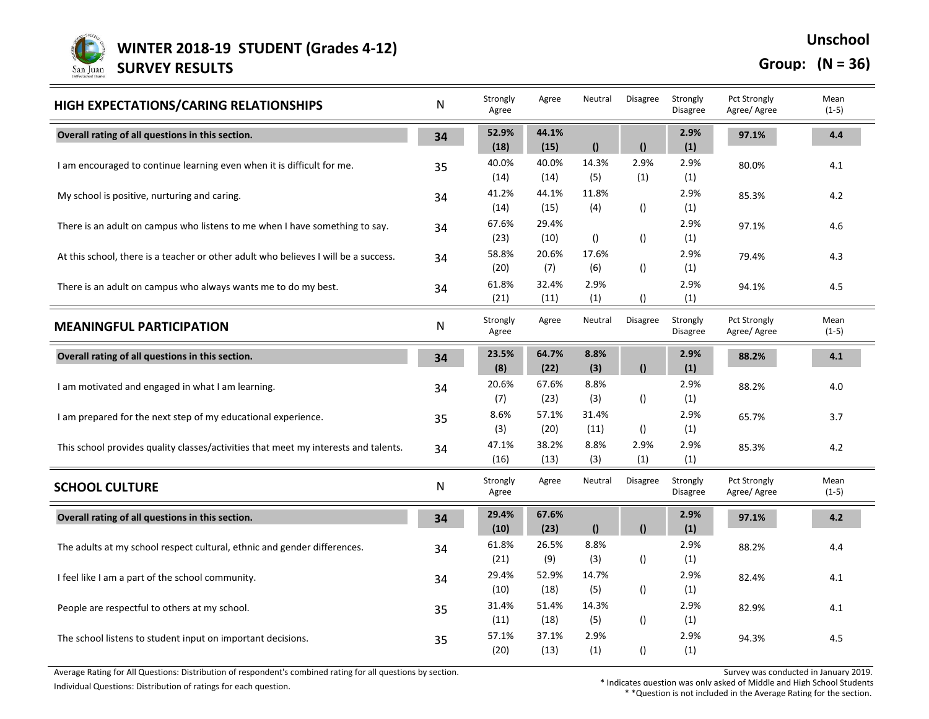

**Unschool**

## **Group: (N = 36)**

| HIGH EXPECTATIONS/CARING RELATIONSHIPS                                              | N         | Strongly<br>Agree | Agree         | Neutral          | Disagree         | Strongly<br><b>Disagree</b> | <b>Pct Strongly</b><br>Agree/ Agree | Mean<br>$(1-5)$ |
|-------------------------------------------------------------------------------------|-----------|-------------------|---------------|------------------|------------------|-----------------------------|-------------------------------------|-----------------|
| Overall rating of all questions in this section.                                    | 34        | 52.9%<br>(18)     | 44.1%<br>(15) | $\theta$         | $\theta$         | 2.9%<br>(1)                 | 97.1%                               | 4.4             |
| I am encouraged to continue learning even when it is difficult for me.              | 35        | 40.0%<br>(14)     | 40.0%<br>(14) | 14.3%<br>(5)     | 2.9%<br>(1)      | 2.9%<br>(1)                 | 80.0%                               | 4.1             |
| My school is positive, nurturing and caring.                                        | 34        | 41.2%<br>(14)     | 44.1%<br>(15) | 11.8%<br>(4)     | $\left( \right)$ | 2.9%<br>(1)                 | 85.3%                               | 4.2             |
| There is an adult on campus who listens to me when I have something to say.         | 34        | 67.6%<br>(23)     | 29.4%<br>(10) | $\left( \right)$ | $\left( \right)$ | 2.9%<br>(1)                 | 97.1%                               | 4.6             |
| At this school, there is a teacher or other adult who believes I will be a success. | 34        | 58.8%<br>(20)     | 20.6%<br>(7)  | 17.6%<br>(6)     | ()               | 2.9%<br>(1)                 | 79.4%                               | 4.3             |
| There is an adult on campus who always wants me to do my best.                      | 34        | 61.8%<br>(21)     | 32.4%<br>(11) | 2.9%<br>(1)      | ()               | 2.9%<br>(1)                 | 94.1%                               | 4.5             |
| <b>MEANINGFUL PARTICIPATION</b>                                                     | ${\sf N}$ | Strongly<br>Agree | Agree         | Neutral          | <b>Disagree</b>  | Strongly<br>Disagree        | Pct Strongly<br>Agree/ Agree        | Mean<br>$(1-5)$ |
| Overall rating of all questions in this section.                                    | 34        | 23.5%<br>(8)      | 64.7%<br>(22) | 8.8%<br>(3)      | $\mathbf{r}$     | 2.9%<br>(1)                 | 88.2%                               | 4.1             |
| I am motivated and engaged in what I am learning.                                   | 34        | 20.6%<br>(7)      | 67.6%<br>(23) | 8.8%<br>(3)      | $\left( \right)$ | 2.9%<br>(1)                 | 88.2%                               | 4.0             |
| I am prepared for the next step of my educational experience.                       | 35        | 8.6%<br>(3)       | 57.1%<br>(20) | 31.4%<br>(11)    | $\left( \right)$ | 2.9%<br>(1)                 | 65.7%                               | 3.7             |
| This school provides quality classes/activities that meet my interests and talents. | 34        | 47.1%<br>(16)     | 38.2%<br>(13) | 8.8%<br>(3)      | 2.9%<br>(1)      | 2.9%<br>(1)                 | 85.3%                               | 4.2             |
| <b>SCHOOL CULTURE</b>                                                               | N         | Strongly<br>Agree | Agree         | Neutral          | Disagree         | Strongly<br><b>Disagree</b> | Pct Strongly<br>Agree/ Agree        | Mean<br>$(1-5)$ |
| Overall rating of all questions in this section.                                    | 34        | 29.4%<br>(10)     | 67.6%<br>(23) | $\mathbf{r}$     | $\Omega$         | 2.9%<br>(1)                 | 97.1%                               | 4.2             |
| The adults at my school respect cultural, ethnic and gender differences.            | 34        | 61.8%<br>(21)     | 26.5%<br>(9)  | 8.8%<br>(3)      | $\left( \right)$ | 2.9%<br>(1)                 | 88.2%                               | 4.4             |
| I feel like I am a part of the school community.                                    | 34        | 29.4%<br>(10)     | 52.9%<br>(18) | 14.7%<br>(5)     | $\left( \right)$ | 2.9%<br>(1)                 | 82.4%                               | 4.1             |
| People are respectful to others at my school.                                       | 35        | 31.4%<br>(11)     | 51.4%<br>(18) | 14.3%<br>(5)     | $\left( \right)$ | 2.9%<br>(1)                 | 82.9%                               | 4.1             |
| The school listens to student input on important decisions.                         | 35        | 57.1%<br>(20)     | 37.1%<br>(13) | 2.9%<br>(1)      | $\left( \right)$ | 2.9%<br>(1)                 | 94.3%                               | 4.5             |

Average Rating for All Questions: Distribution of respondent's combined rating for all questions by section. Survey was conducted in January 2019.

Individual Questions: Distribution of ratings for each question. <br>Individual Question was only asked of Middle and High School Students \* \* \*Question is not included in the Average Rating for the section.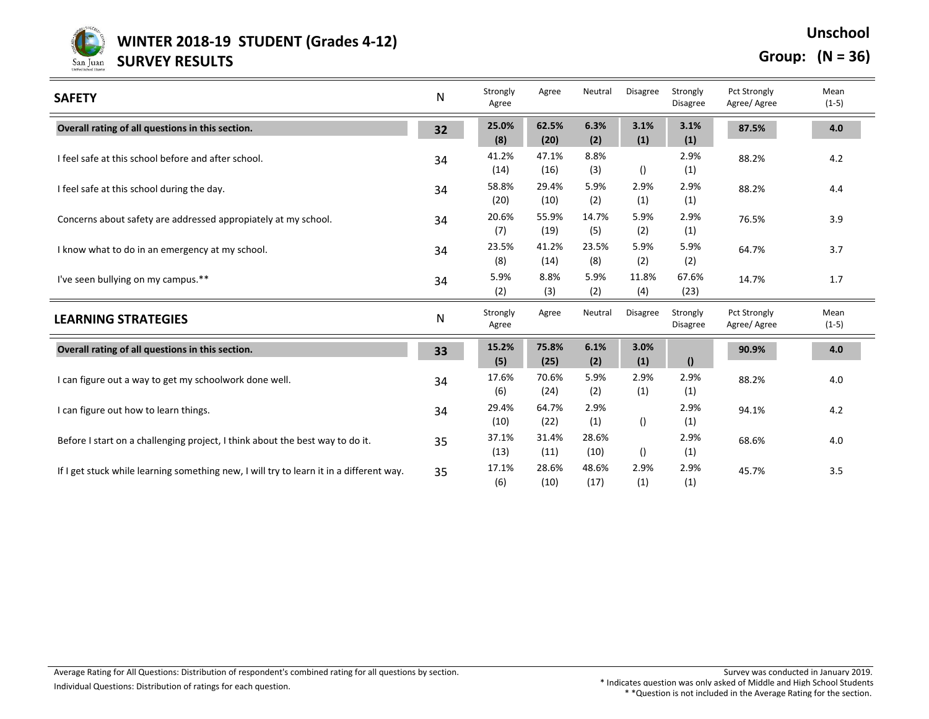

 **WINTER 2018-19 STUDENT (Grades 4-12)**  San Juan **SURVEY RESULTS** 

**Group: (N = 36)**

**Unschool**

| <b>SAFETY</b>                                                                           | N            | Strongly<br>Agree | Agree         | Neutral       | <b>Disagree</b>  | Strongly<br><b>Disagree</b> | <b>Pct Strongly</b><br>Agree/Agree | Mean<br>$(1-5)$ |
|-----------------------------------------------------------------------------------------|--------------|-------------------|---------------|---------------|------------------|-----------------------------|------------------------------------|-----------------|
| Overall rating of all questions in this section.                                        | 32           | 25.0%<br>(8)      | 62.5%<br>(20) | 6.3%<br>(2)   | 3.1%<br>(1)      | 3.1%<br>(1)                 | 87.5%                              | 4.0             |
| I feel safe at this school before and after school.                                     | 34           | 41.2%<br>(14)     | 47.1%<br>(16) | 8.8%<br>(3)   | $\left( \right)$ | 2.9%<br>(1)                 | 88.2%                              | 4.2             |
| I feel safe at this school during the day.                                              | 34           | 58.8%<br>(20)     | 29.4%<br>(10) | 5.9%<br>(2)   | 2.9%<br>(1)      | 2.9%<br>(1)                 | 88.2%                              | 4.4             |
| Concerns about safety are addressed appropiately at my school.                          | 34           | 20.6%<br>(7)      | 55.9%<br>(19) | 14.7%<br>(5)  | 5.9%<br>(2)      | 2.9%<br>(1)                 | 76.5%                              | 3.9             |
| I know what to do in an emergency at my school.                                         | 34           | 23.5%<br>(8)      | 41.2%<br>(14) | 23.5%<br>(8)  | 5.9%<br>(2)      | 5.9%<br>(2)                 | 64.7%                              | 3.7             |
| I've seen bullying on my campus.**                                                      | 34           | 5.9%<br>(2)       | 8.8%<br>(3)   | 5.9%<br>(2)   | 11.8%<br>(4)     | 67.6%<br>(23)               | 14.7%                              | 1.7             |
| <b>LEARNING STRATEGIES</b>                                                              | $\mathsf{N}$ | Strongly<br>Agree | Agree         | Neutral       | Disagree         | Strongly<br><b>Disagree</b> | Pct Strongly<br>Agree/Agree        | Mean<br>$(1-5)$ |
| Overall rating of all questions in this section.                                        | 33           | 15.2%<br>(5)      | 75.8%<br>(25) | 6.1%<br>(2)   | 3.0%<br>(1)      | $\mathbf{r}$                | 90.9%                              | 4.0             |
| I can figure out a way to get my schoolwork done well.                                  | 34           | 17.6%<br>(6)      | 70.6%<br>(24) | 5.9%<br>(2)   | 2.9%<br>(1)      | 2.9%<br>(1)                 | 88.2%                              | 4.0             |
| I can figure out how to learn things.                                                   | 34           | 29.4%<br>(10)     | 64.7%<br>(22) | 2.9%<br>(1)   | $\left( \right)$ | 2.9%<br>(1)                 | 94.1%                              | 4.2             |
| Before I start on a challenging project, I think about the best way to do it.           | 35           | 37.1%<br>(13)     | 31.4%<br>(11) | 28.6%<br>(10) | ()               | 2.9%<br>(1)                 | 68.6%                              | 4.0             |
| If I get stuck while learning something new, I will try to learn it in a different way. | 35           | 17.1%<br>(6)      | 28.6%<br>(10) | 48.6%<br>(17) | 2.9%<br>(1)      | 2.9%<br>(1)                 | 45.7%                              | 3.5             |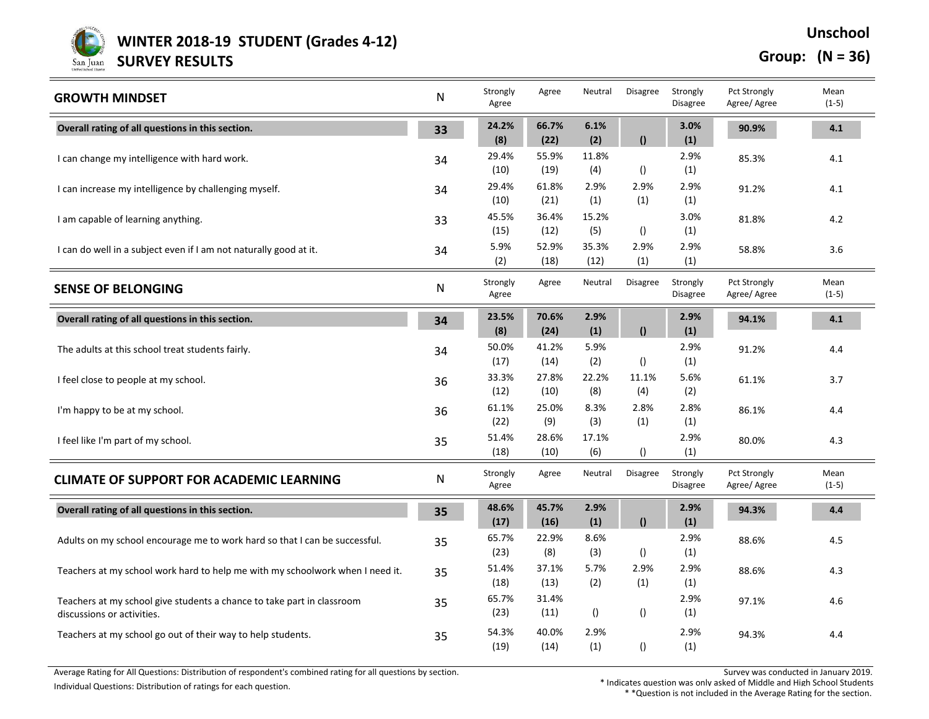

**WINTER 2018-19 STUDENT (Grades 4-12)** 

**SURVEY RESULTS**

**Group: (N = 36)**

**Unschool**

| <b>GROWTH MINDSET</b>                                                                                | N         | Strongly<br>Agree | Agree         | Neutral          | <b>Disagree</b>  | Strongly<br><b>Disagree</b> | Pct Strongly<br>Agree/Agree         | Mean<br>$(1-5)$ |
|------------------------------------------------------------------------------------------------------|-----------|-------------------|---------------|------------------|------------------|-----------------------------|-------------------------------------|-----------------|
| Overall rating of all questions in this section.                                                     | 33        | 24.2%<br>(8)      | 66.7%<br>(22) | 6.1%<br>(2)      | $\bf{0}$         | 3.0%<br>(1)                 | 90.9%                               | 4.1             |
| I can change my intelligence with hard work.                                                         | 34        | 29.4%<br>(10)     | 55.9%<br>(19) | 11.8%<br>(4)     | $\left( \right)$ | 2.9%<br>(1)                 | 85.3%                               | 4.1             |
| I can increase my intelligence by challenging myself.                                                | 34        | 29.4%<br>(10)     | 61.8%<br>(21) | 2.9%<br>(1)      | 2.9%<br>(1)      | 2.9%<br>(1)                 | 91.2%                               | 4.1             |
| I am capable of learning anything.                                                                   | 33        | 45.5%<br>(15)     | 36.4%<br>(12) | 15.2%<br>(5)     | $\left( \right)$ | 3.0%<br>(1)                 | 81.8%                               | 4.2             |
| I can do well in a subject even if I am not naturally good at it.                                    | 34        | 5.9%<br>(2)       | 52.9%<br>(18) | 35.3%<br>(12)    | 2.9%<br>(1)      | 2.9%<br>(1)                 | 58.8%                               | 3.6             |
| <b>SENSE OF BELONGING</b>                                                                            | ${\sf N}$ | Strongly<br>Agree | Agree         | Neutral          | <b>Disagree</b>  | Strongly<br><b>Disagree</b> | Pct Strongly<br>Agree/ Agree        | Mean<br>$(1-5)$ |
| Overall rating of all questions in this section.                                                     | 34        | 23.5%<br>(8)      | 70.6%<br>(24) | 2.9%<br>(1)      | $\theta$         | 2.9%<br>(1)                 | 94.1%                               | 4.1             |
| The adults at this school treat students fairly.                                                     | 34        | 50.0%<br>(17)     | 41.2%<br>(14) | 5.9%<br>(2)      | $\left( \right)$ | 2.9%<br>(1)                 | 91.2%                               | 4.4             |
| I feel close to people at my school.                                                                 | 36        | 33.3%<br>(12)     | 27.8%<br>(10) | 22.2%<br>(8)     | 11.1%<br>(4)     | 5.6%<br>(2)                 | 61.1%                               | 3.7             |
| I'm happy to be at my school.                                                                        | 36        | 61.1%<br>(22)     | 25.0%<br>(9)  | 8.3%<br>(3)      | 2.8%<br>(1)      | 2.8%<br>(1)                 | 86.1%                               | 4.4             |
| I feel like I'm part of my school.                                                                   | 35        | 51.4%<br>(18)     | 28.6%<br>(10) | 17.1%<br>(6)     | $\left( \right)$ | 2.9%<br>(1)                 | 80.0%                               | 4.3             |
| <b>CLIMATE OF SUPPORT FOR ACADEMIC LEARNING</b>                                                      | ${\sf N}$ | Strongly<br>Agree | Agree         | Neutral          | Disagree         | Strongly<br><b>Disagree</b> | <b>Pct Strongly</b><br>Agree/ Agree | Mean<br>$(1-5)$ |
| Overall rating of all questions in this section.                                                     | 35        | 48.6%<br>(17)     | 45.7%<br>(16) | 2.9%<br>(1)      | $\mathbf{r}$     | 2.9%<br>(1)                 | 94.3%                               | 4.4             |
| Adults on my school encourage me to work hard so that I can be successful.                           | 35        | 65.7%<br>(23)     | 22.9%<br>(8)  | 8.6%<br>(3)      | $\left( \right)$ | 2.9%<br>(1)                 | 88.6%                               | 4.5             |
| Teachers at my school work hard to help me with my schoolwork when I need it.                        | 35        | 51.4%<br>(18)     | 37.1%<br>(13) | 5.7%<br>(2)      | 2.9%<br>(1)      | 2.9%<br>(1)                 | 88.6%                               | 4.3             |
| Teachers at my school give students a chance to take part in classroom<br>discussions or activities. | 35        | 65.7%<br>(23)     | 31.4%<br>(11) | $\left( \right)$ | $\left( \right)$ | 2.9%<br>(1)                 | 97.1%                               | 4.6             |
| Teachers at my school go out of their way to help students.                                          | 35        | 54.3%<br>(19)     | 40.0%<br>(14) | 2.9%<br>(1)      | $\left( \right)$ | 2.9%<br>(1)                 | 94.3%                               | 4.4             |

Average Rating for All Questions: Distribution of respondent's combined rating for all questions by section. Survey was conducted in January 2019. Individual Questions: Distribution of ratings for each question. <br>Individual Question was only asked of Middle and High School Students \* \* \*Question is not included in the Average Rating for the section.